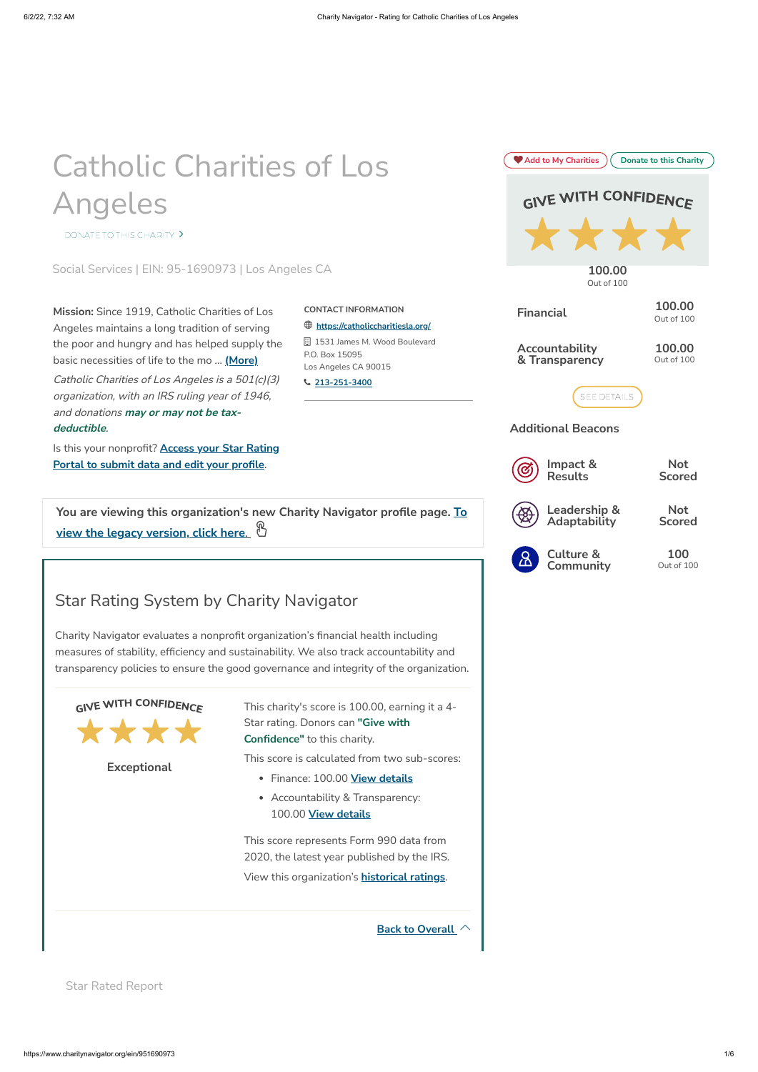# <span id="page-0-0"></span>Catholic Charities of Los Angeles

[DONATE TO THIS CHARITY](https://www.charitynavigator.org/index.cfm?bay=my.donations.makedonation&ein=951690973) >

Social Services | EIN: 95-1690973 | Los Angeles CA

**You are viewing this [organization's](https://www.charitynavigator.org/index.cfm?bay=search.summary&orgid=3435&oldpage) new Charity Navigator profile page. To view the legacy version, click here**.

Star Rated Report

 **<https://catholiccharitiesla.org/>** 1531 James M. Wood Boulevard

Angeles maintains a long tradition of serving the poor and hungry and has helped supply the basic necessities of life to the mo ... **(More)**

Catholic Charities of Los Angeles is <sup>a</sup> 501(c)(3) organization, with an IRS ruling year of 1946, and donations **may or may not be taxdeductible**.

Is this your [nonprofit?](https://www.charitynavigator.org/index.cfm?bay=my.nonprofit.update&orgid=3435) **Access your Star Rating Portal to submit data and edit your profile**.

**CONTACT INFORMATION**

P.O. Box 15095

Los Angeles CA 90015

**[213-251-3400](tel:2132513400)**

## <span id="page-0-2"></span>Star Rating System by Charity Navigator

Charity Navigator evaluates a nonprofit organization's financial health including measures of stability, efficiency and sustainability. We also track accountability and transparency policies to ensure the good governance and integrity of the organization.



**Back to [Overall](#page-0-0)**

**Exceptional**

This charity's score is 100.00, earning it a 4- Star rating. Donors can **"Give with Confidence"** to this charity.

This score is calculated from two sub-scores:

- Finance: 100.00 **View [details](#page-0-1)**
- Accountability & Transparency:

#### 100.00 **View details**

This score represents Form 990 data from 2020, the latest year published by the IRS.

<span id="page-0-1"></span>View this organization's **historical ratings**.

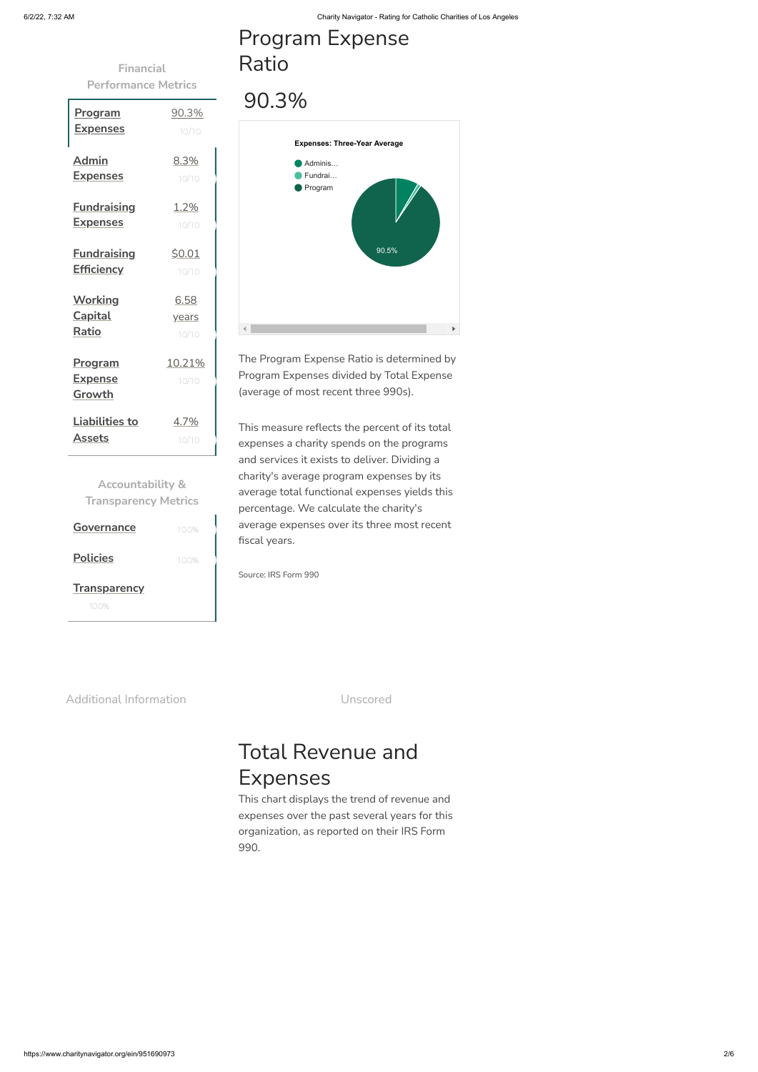**Financial Performance Metrics**

**Accountability & Transparency Metrics**

| <u>Program</u>                             | 90.3%                  |
|--------------------------------------------|------------------------|
| <u>Expenses</u>                            | 10/10                  |
| <b>Admin</b>                               | 8.3%                   |
| <u>Expenses</u>                            | 10/10                  |
| <b>Fundraising</b>                         | 1.2%                   |
| <u>Expenses</u>                            | 10/10                  |
| <b>Fundraising</b>                         | \$0.01                 |
| <b>Efficiency</b>                          | 10/10                  |
| <b>Working</b>                             | 6.58                   |
| <b>Capital</b>                             | years                  |
| Ratio                                      | 10/10                  |
| <u>Program</u><br><u>Expense</u><br>Growth | <u>10.21%</u><br>10/10 |
| <b>Liabilities to</b>                      | 4.7%                   |
| Assets                                     | 10/10                  |

| <b>Governance</b>                | 100% |
|----------------------------------|------|
| <b>Policies</b>                  | 100% |
| <b>Transparency</b><br>1 A A A Z |      |

## Program Expense Ratio

## 90.3%

The Program Expense Ratio is determined by Program Expenses divided by Total Expense (average of most recent three 990s).

This measure reflects the percent of its total expenses a charity spends on the programs and services it exists to deliver. Dividing a charity's average program expenses by its average total functional expenses yields this percentage. We calculate the charity's average expenses over its three most recent fiscal years.

Source: IRS Form 990

Additional Information and Unscored



## <span id="page-1-0"></span>Total Revenue and Expenses

This chart displays the trend of revenue and

expenses over the past several years for this organization, as reported on their IRS Form 990.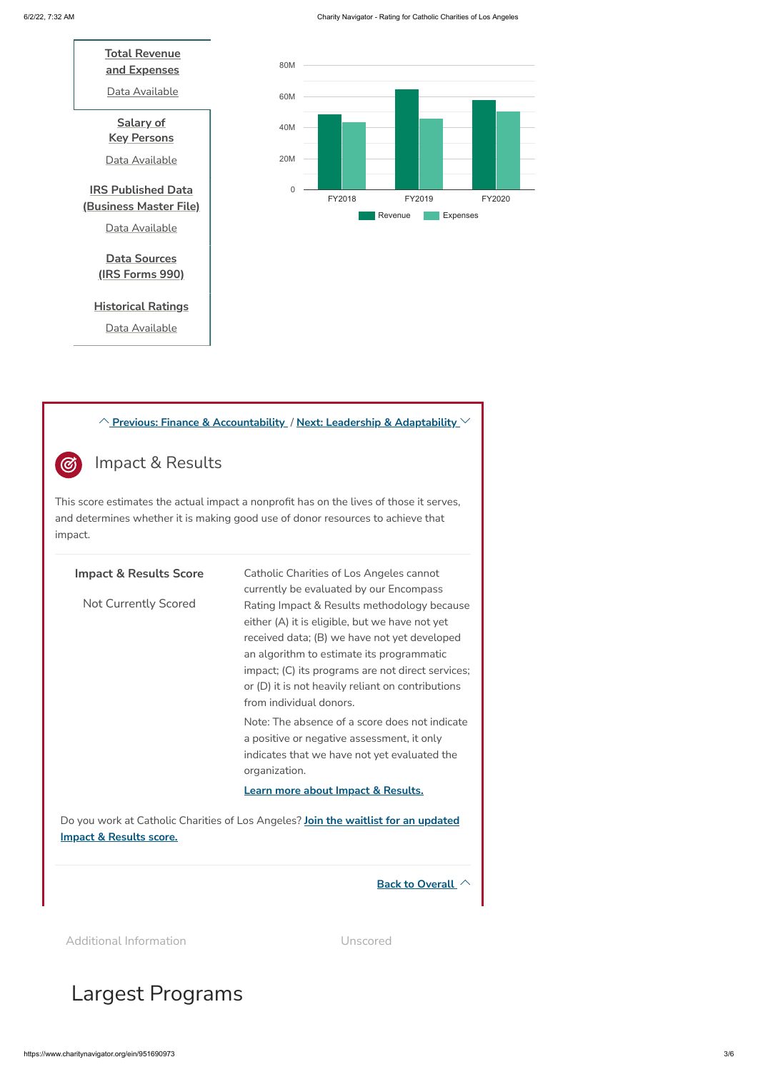#### <span id="page-2-0"></span>Impact & Results  $\circledcirc$



## Largest Programs

**Previous: Finance & [Accountability](#page-0-2)** / **Next: Leadership & [Adaptability](#page-3-0)** 

This score estimates the actual impact a nonprofit has on the lives of those it serves, and determines whether it is making good use of donor resources to achieve that impact.



Additional Information **Additional Information** Unscored

| <b>Impact &amp; Results Score</b> | Catholic Charities of Los Angeles cannot<br>currently be evaluated by our Encompass                                                                                                                                                                                                                                             |
|-----------------------------------|---------------------------------------------------------------------------------------------------------------------------------------------------------------------------------------------------------------------------------------------------------------------------------------------------------------------------------|
| <b>Not Currently Scored</b>       | Rating Impact & Results methodology because<br>either (A) it is eligible, but we have not yet<br>received data; (B) we have not yet developed<br>an algorithm to estimate its programmatic<br>impact; (C) its programs are not direct services;<br>or (D) it is not heavily reliant on contributions<br>from individual donors. |
|                                   | Note: The absence of a score does not indicate<br>a positive or negative assessment, it only<br>indicates that we have not yet evaluated the<br>organization.                                                                                                                                                                   |
|                                   | Learn more about Impact & Results.                                                                                                                                                                                                                                                                                              |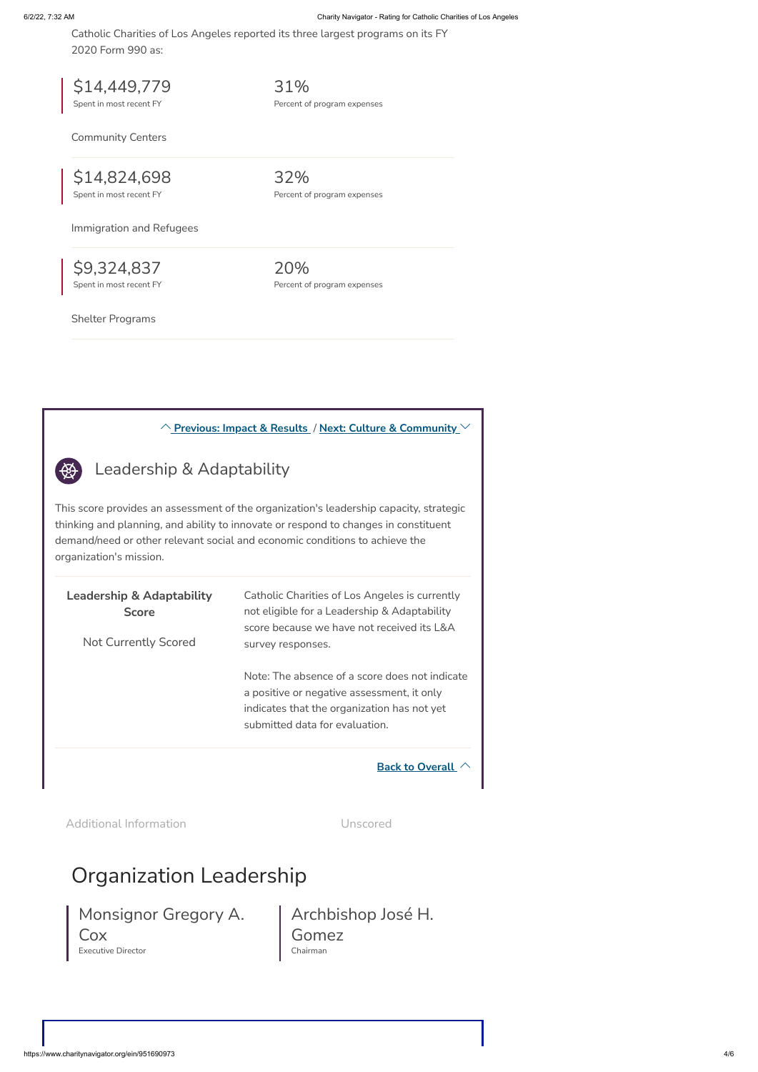Catholic Charities of Los Angeles reported its three largest programs on its FY 2020 Form 990 as:

Community Centers

Immigration and Refugees

Shelter Programs

<span id="page-3-0"></span> $\bigoplus$ 

\$14,449,779 Spent in most recent FY

31%

Percent of program expenses

\$14,824,698 Spent in most recent FY

32% Percent of program expenses

\$9,324,837 Spent in most recent FY 20% Percent of program expenses

## Organization Leadership

## <span id="page-3-1"></span>Monsignor Gregory A. Cox Executive Director

Archbishop José H. Gomez Chairman

### **[Previous:](#page-2-0) Impact & Results** / **Next: Culture & [Community](#page-3-1)**

Leadership & Adaptability

This score provides an assessment of the organization's leadership capacity, strategic thinking and planning, and ability to innovate or respond to changes in constituent demand/need or other relevant social and economic conditions to achieve the organization's mission.

| <b>Leadership &amp; Adaptability</b><br><b>Score</b><br><b>Not Currently Scored</b> | Catholic Charities of Los Angeles is currently<br>not eligible for a Leadership & Adaptability<br>score because we have not received its L&A<br>survey responses.             |
|-------------------------------------------------------------------------------------|-------------------------------------------------------------------------------------------------------------------------------------------------------------------------------|
|                                                                                     | Note: The absence of a score does not indicate<br>a positive or negative assessment, it only<br>indicates that the organization has not yet<br>submitted data for evaluation. |
|                                                                                     | <b>Back to Overall</b>                                                                                                                                                        |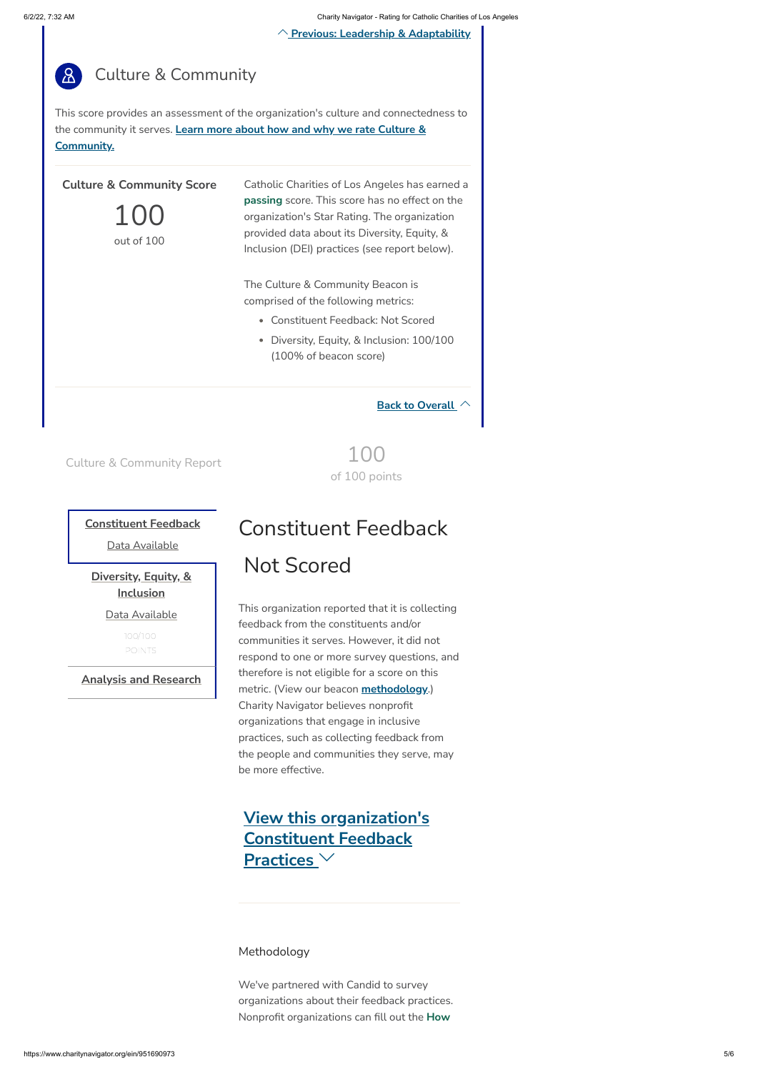of 100 points

### **[Constituent](#page-4-0) Feedback**

Data Available

### **Diversity, Equity, & Inclusion**

Data Available

**Analysis and Research**

Methodology

We've partnered with Candid to survey organizations about their feedback practices. Nonprofit organizations can fill out the **How**

## <span id="page-4-0"></span>Constituent Feedback Not Scored

## This organization reported that it is collecting feedback from the constituents and/or communities it serves. However, it did not respond to one or more survey questions, and therefore is not eligible for a score on this metric. (View our beacon **[methodology](https://www.charitynavigator.org/index.cfm?bay=content.view&cpid=8563)**.) Charity Navigator believes nonprofit organizations that engage in inclusive practices, such as collecting feedback from the people and communities they serve, may be more effective.

**View this organization's Constituent Feedback Practices**

**Previous: Leadership & [Adaptability](#page-3-0)**



This score provides an assessment of the organization's culture and connectedness to the community it serves. **Learn more about how and why we rate Culture & [Community.](https://www.charitynavigator.org/index.cfm?bay=content.view&cpid=8563)**

**Back to [Overall](#page-0-0)**

Culture & Community Report  $100$ 

### **Culture & Community Score**

100 out of 100

Catholic Charities of Los Angeles has earned a **passing** score. This score has no effect on the organization's Star Rating. The organization provided data about its Diversity, Equity, & Inclusion (DEI) practices (see report below).

The Culture & Community Beacon is comprised of the following metrics:

- Constituent Feedback: Not Scored
- Diversity, Equity, & Inclusion: 100/100 (100% of beacon score)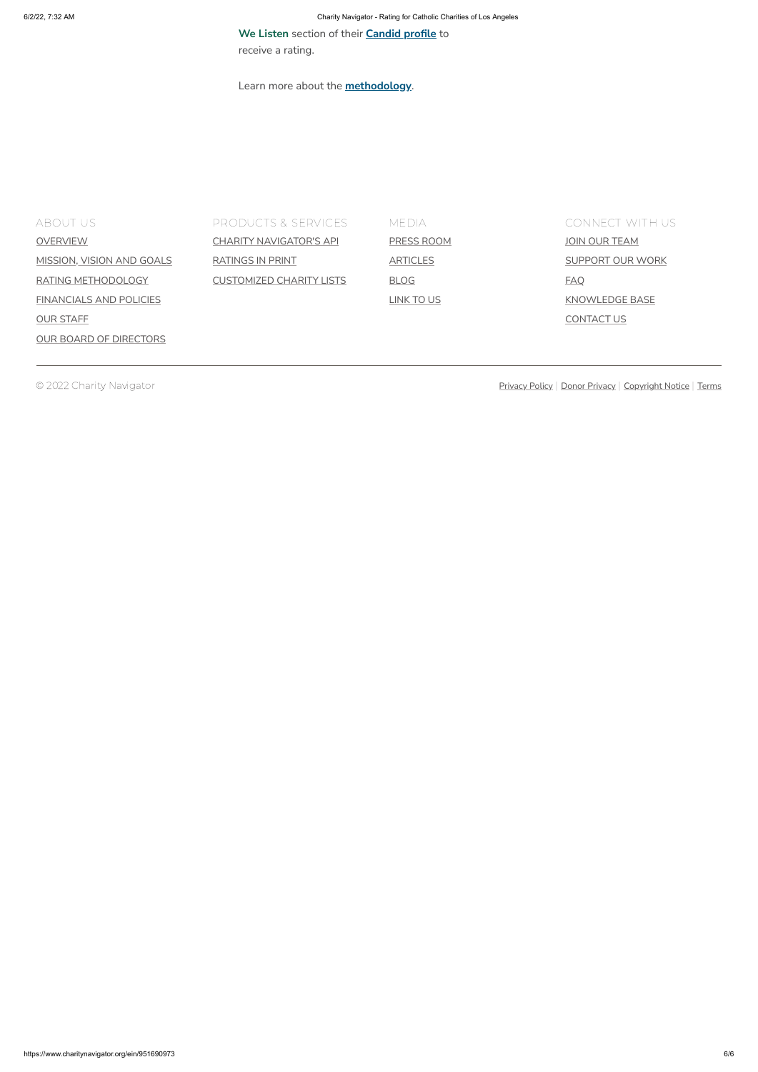| ABOUT US.                      | <b>PRODUCTS &amp; SERVICES</b>  | <b>MEDIA</b>      | <b>CONNECT WITH US</b>  |
|--------------------------------|---------------------------------|-------------------|-------------------------|
| <b>OVERVIEW</b>                | <b>CHARITY NAVIGATOR'S API</b>  | PRESS ROOM        | JOIN OUR TEAM           |
| MISSION, VISION AND GOALS      | <b>RATINGS IN PRINT</b>         | <b>ARTICLES</b>   | <b>SUPPORT OUR WORK</b> |
| RATING METHODOLOGY             | <b>CUSTOMIZED CHARITY LISTS</b> | <b>BLOG</b>       | <u>FAQ</u>              |
| <b>FINANCIALS AND POLICIES</b> |                                 | <u>LINK TO US</u> | KNOWLEDGE BASE          |
| <b>OUR STAFF</b>               |                                 |                   | <b>CONTACT US</b>       |
| <b>OUR BOARD OF DIRECTORS</b>  |                                 |                   |                         |

© 2022 Charity Navigator **[Privacy](https://www.charitynavigator.org/index.cfm?bay=content.view&cpid=1850) Policy Policy Policy Policy Policy Policy | Donor Privacy | [Copyright](https://www.charitynavigator.org/index.cfm?bay=content.view&cpid=36) Notice | [Terms](https://www.charitynavigator.org/index.cfm?bay=content.view&cpid=37)** 

**We Listen** section of their **[Candid](http://guidestar.candid.org/update-nonprofit-profile/) profile** to receive a rating.

Learn more about the **[methodology](https://www.charitynavigator.org/index.cfm?bay=content.view&cpid=8563)**.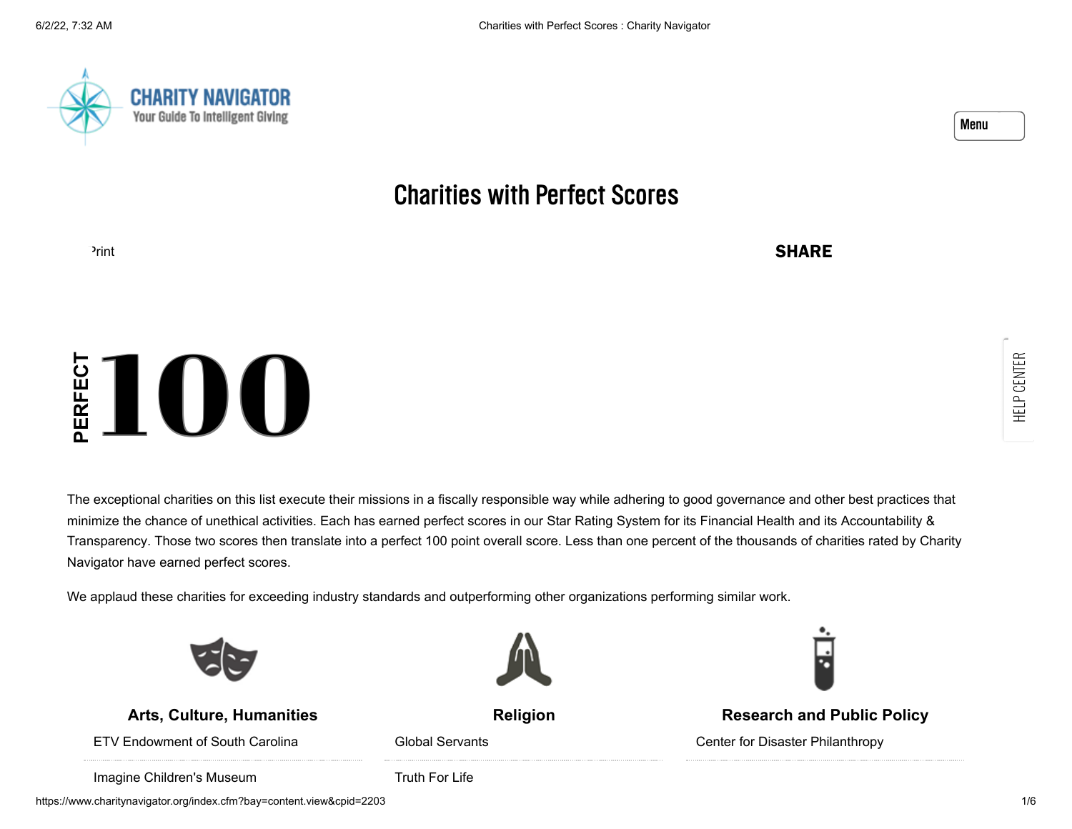



## Charities with Perfect Scores

[Print](https://www.charitynavigator.org/index.cfm?bay=content.view&cpid=2203&print=1) **SHARE** 

The exceptional charities on this list execute their missions in a fiscally responsible way while adhering to good governance and other best practices that [minimize the chance of unethical activities. Each has earned perfect scores in our Star Rating System for its Financial Health and its Accountability &](http://www.charitynavigator.org/index.cfm?bay=content.view&cpid=1093) Transparency. Those two scores then translate into a perfect 100 point overall score. Less than one percent of the thousands of charities rated by Charity Navigator have earned perfect scores. The exceptional charities on this list execute their missions in a fiscally responsible way while adhering to good governance and other best practices that  $\frac{P}{P}$  and  $\frac{P}{P}$  and  $\frac{P}{P}$  and  $\frac{P}{P}$  and  $\frac{P}{P}$ 



**Arts, Culture, [Humanities](https://www.charitynavigator.org/index.cfm?bay=search.categories&categoryid=2)**

[ETV Endowment of South Carolina](https://www.charitynavigator.org/index.cfm?bay=search.summary&orgid=5511)

[Global Servants](https://www.charitynavigator.org/index.cfm?bay=search.summary&orgid=8484)



**[Religion](https://www.charitynavigator.org/index.cfm?bay=search.categories&categoryid=9)**

**[Research](https://www.charitynavigator.org/index.cfm?bay=search.categories&categoryid=11) and Public Policy**

[Center for Disaster Philanthropy](https://www.charitynavigator.org/index.cfm?bay=search.summary&orgid=18121)

[Imagine Children's Museum](https://www.charitynavigator.org/index.cfm?bay=search.summary&orgid=9787)

[Truth For Life](https://www.charitynavigator.org/index.cfm?bay=search.summary&orgid=7809)

https://www.charitynavigator.org/index.cfm?bay=content.view&cpid=2203 1/6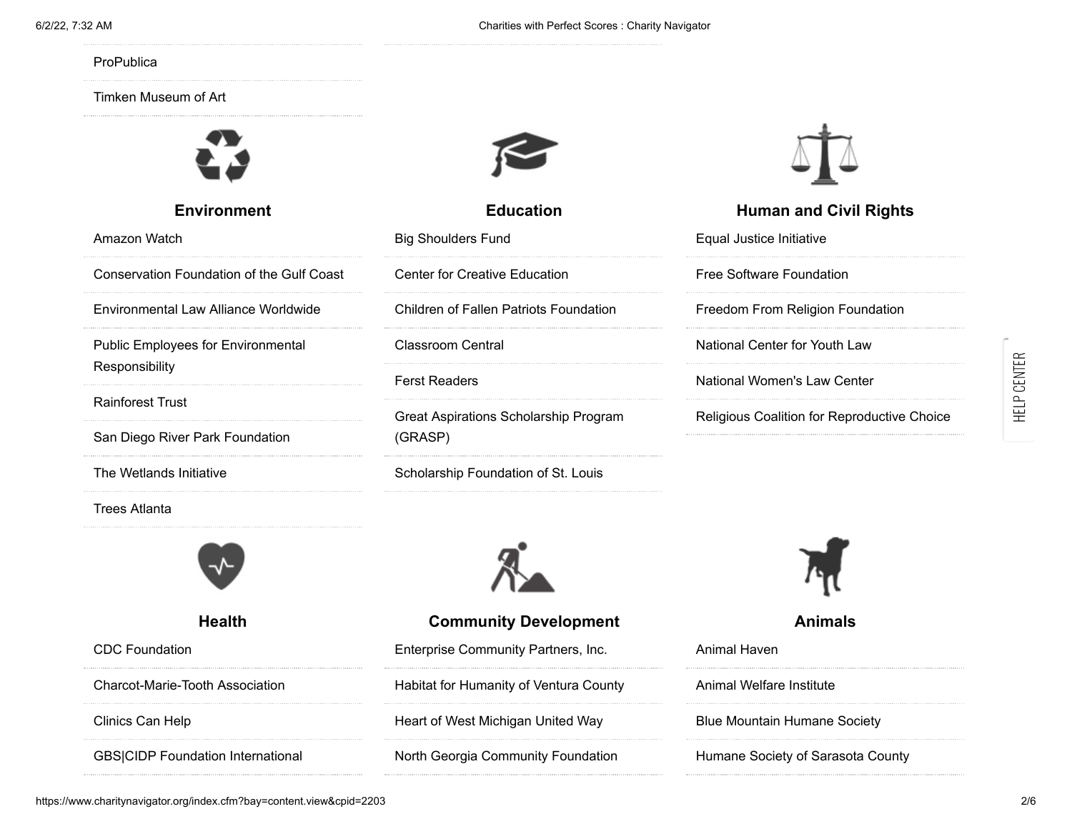#### **[ProPublica](https://www.charitynavigator.org/index.cfm?bay=search.summary&orgid=13005)**

#### [Timken Museum of Art](https://www.charitynavigator.org/index.cfm?bay=search.summary&orgid=17071)



#### **[Environment](https://www.charitynavigator.org/index.cfm?bay=search.categories&categoryid=4)**

[Amazon Watch](https://www.charitynavigator.org/index.cfm?bay=search.summary&orgid=10643)

[Conservation Foundation of the Gulf Coast](https://www.charitynavigator.org/index.cfm?bay=search.summary&orgid=14066)

[Environmental Law Alliance Worldwide](https://www.charitynavigator.org/index.cfm?bay=search.summary&orgid=6437)

[Public Employees for Environmental](https://www.charitynavigator.org/index.cfm?bay=search.summary&orgid=7419) Responsibility

[Rainforest Trust](https://www.charitynavigator.org/index.cfm?bay=search.summary&orgid=11733)

[San Diego River Park Foundation](https://www.charitynavigator.org/index.cfm?bay=search.summary&orgid=16323)

[The Wetlands Initiative](https://www.charitynavigator.org/index.cfm?bay=search.summary&orgid=5273)

[Trees Atlanta](https://www.charitynavigator.org/index.cfm?bay=search.summary&orgid=7205)



**[Health](https://www.charitynavigator.org/index.cfm?bay=search.categories&categoryid=5)**

[CDC Foundation](https://www.charitynavigator.org/index.cfm?bay=search.summary&orgid=10296)

[Charcot-Marie-Tooth Association](https://www.charitynavigator.org/index.cfm?bay=search.summary&orgid=10580)

[Clinics Can Help](https://www.charitynavigator.org/index.cfm?bay=search.summary&orgid=16597)

[GBS|CIDP Foundation International](https://www.charitynavigator.org/index.cfm?bay=search.summary&orgid=10284)



### **[Education](https://www.charitynavigator.org/index.cfm?bay=search.categories&categoryid=3)**

[Big Shoulders Fund](https://www.charitynavigator.org/index.cfm?bay=search.summary&orgid=3366)

[Center for Creative Education](https://www.charitynavigator.org/index.cfm?bay=search.summary&orgid=13923)

[Children of Fallen Patriots Foundation](https://www.charitynavigator.org/index.cfm?bay=search.summary&orgid=16683)

[Classroom Central](https://www.charitynavigator.org/index.cfm?bay=search.summary&orgid=14411)

[Ferst Readers](https://www.charitynavigator.org/index.cfm?bay=search.summary&orgid=11585)

[Great Aspirations Scholarship Program](https://www.charitynavigator.org/index.cfm?bay=search.summary&orgid=16273) (GRASP)

[Scholarship Foundation of St. Louis](https://www.charitynavigator.org/index.cfm?bay=search.summary&orgid=18041)



**Community [Development](https://www.charitynavigator.org/index.cfm?bay=search.categories&categoryid=10)** [Enterprise Community Partners, Inc.](https://www.charitynavigator.org/index.cfm?bay=search.summary&orgid=3668) [Habitat for Humanity of Ventura County](https://www.charitynavigator.org/index.cfm?bay=search.summary&orgid=12254) [Heart of West Michigan United Way](https://www.charitynavigator.org/index.cfm?bay=search.summary&orgid=3806) [North Georgia Community Foundation](https://www.charitynavigator.org/index.cfm?bay=search.summary&orgid=17581)



### **[Human](https://www.charitynavigator.org/index.cfm?bay=search.categories&categoryid=8) and Civil Rights**

[Equal Justice Initiative](https://www.charitynavigator.org/index.cfm?bay=search.summary&orgid=12756) [Free Software Foundation](https://www.charitynavigator.org/index.cfm?bay=search.summary&orgid=8557) [Freedom From Religion Foundation](https://www.charitynavigator.org/index.cfm?bay=search.summary&orgid=7003) [National Center for Youth Law](https://www.charitynavigator.org/index.cfm?bay=search.summary&orgid=17246) [National Women's Law Center](https://www.charitynavigator.org/index.cfm?bay=search.summary&orgid=7094) [Religious Coalition for Reproductive Choice](https://www.charitynavigator.org/index.cfm?bay=search.summary&orgid=7095)



**[Animals](https://www.charitynavigator.org/index.cfm?bay=search.categories&categoryid=1)**

[Animal Haven](https://www.charitynavigator.org/index.cfm?bay=search.summary&orgid=6711) [Animal Welfare Institute](https://www.charitynavigator.org/index.cfm?bay=search.summary&orgid=6035) [Blue Mountain Humane Society](https://www.charitynavigator.org/index.cfm?bay=search.summary&orgid=17188) [Humane Society of Sarasota County](https://www.charitynavigator.org/index.cfm?bay=search.summary&orgid=6319)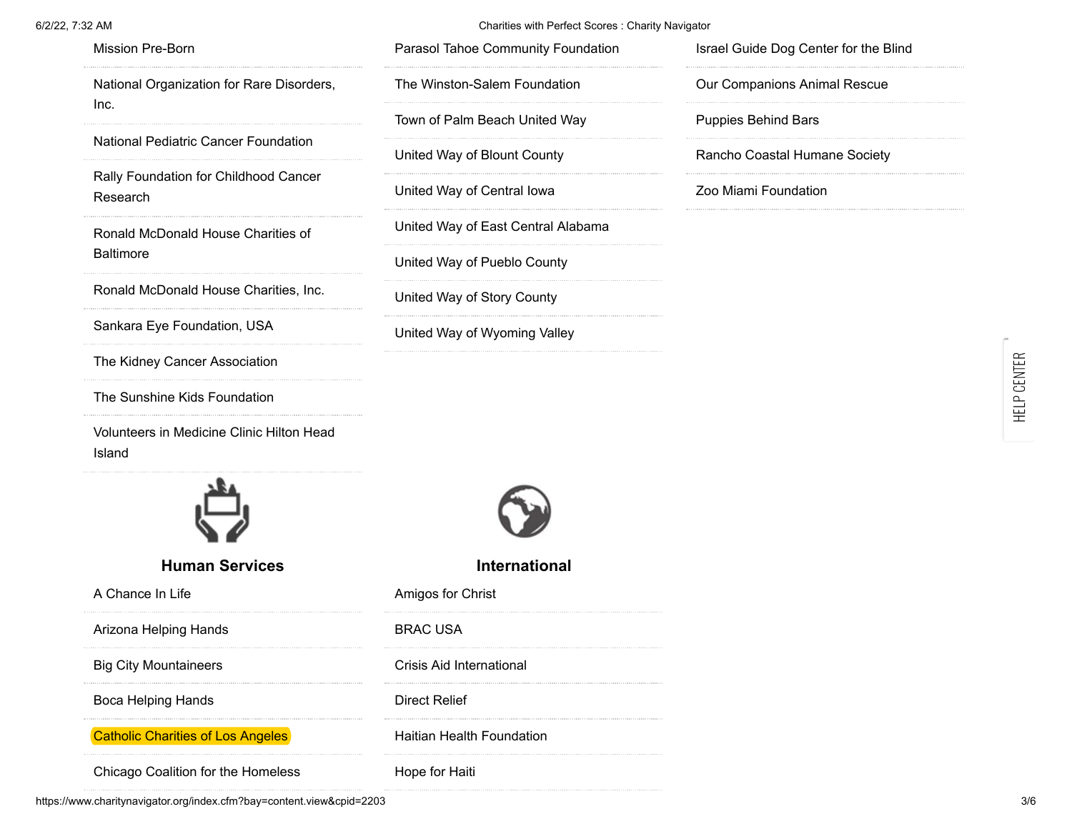| 6/2/22, 7:32 AM                                     | Charities with Perfect Scores : Charity Navigator |                                       |
|-----------------------------------------------------|---------------------------------------------------|---------------------------------------|
| Mission Pre-Born                                    | Parasol Tahoe Community Foundation                | Israel Guide Dog Center for the Blind |
| National Organization for Rare Disorders,           | The Winston-Salem Foundation                      | Our Companions Animal Rescue          |
| Inc.                                                | Town of Palm Beach United Way                     | <b>Puppies Behind Bars</b>            |
| National Pediatric Cancer Foundation                | United Way of Blount County                       | Rancho Coastal Humane Society         |
| Rally Foundation for Childhood Cancer<br>Research   | United Way of Central lowa                        | Zoo Miami Foundation                  |
| Ronald McDonald House Charities of                  | United Way of East Central Alabama                |                                       |
| <b>Baltimore</b>                                    | United Way of Pueblo County                       |                                       |
| Ronald McDonald House Charities, Inc.               | United Way of Story County                        |                                       |
| Sankara Eye Foundation, USA                         | United Way of Wyoming Valley                      |                                       |
| The Kidney Cancer Association                       |                                                   |                                       |
| The Sunshine Kids Foundation                        |                                                   |                                       |
| Volunteers in Medicine Clinic Hilton Head<br>Island |                                                   |                                       |
|                                                     |                                                   |                                       |
| <b>Human Services</b>                               | International                                     |                                       |
| A Chance In Life                                    | Amigos for Christ                                 |                                       |
| Arizona Helping Hands                               | <b>BRAC USA</b>                                   |                                       |
| <b>Big City Mountaineers</b>                        | Crisis Aid International                          |                                       |
| <b>Boca Helping Hands</b>                           | <b>Direct Relief</b>                              |                                       |
| <b>Catholic Charities of Los Angeles</b>            | Haitian Health Foundation                         |                                       |
| Chicago Coalition for the Homeless                  | Hope for Haiti                                    |                                       |

۳

https://www.charitynavigator.org/index.cfm?bay=content.view&cpid=2203 3/6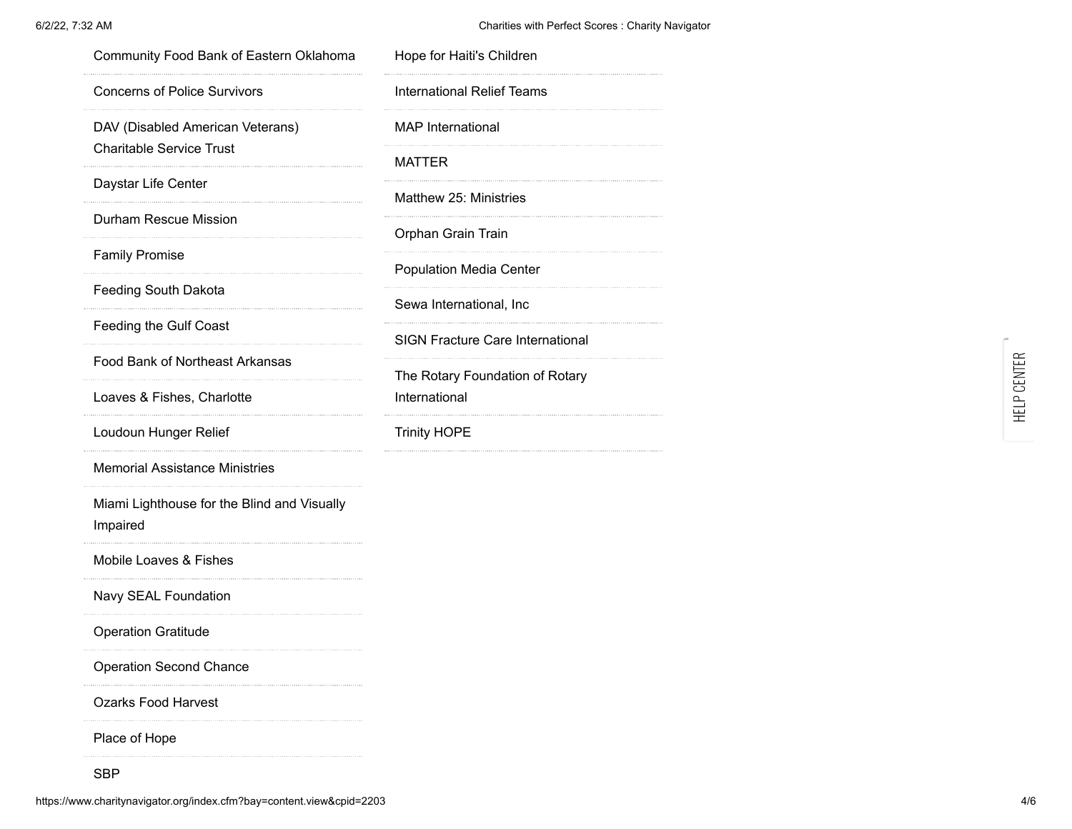#### 6/2/22, 7:32 AM Charities with Perfect Scores : Charity Navigator

| Community Food Bank of Eastern Oklahoma                 | Hope for Haiti's Children               |
|---------------------------------------------------------|-----------------------------------------|
| <b>Concerns of Police Survivors</b>                     | International Relief Teams              |
| DAV (Disabled American Veterans)                        | <b>MAP</b> International                |
| <b>Charitable Service Trust</b>                         | MATTER                                  |
| Daystar Life Center                                     | Matthew 25: Ministries                  |
| <b>Durham Rescue Mission</b>                            | Orphan Grain Train                      |
| <b>Family Promise</b>                                   | <b>Population Media Center</b>          |
| Feeding South Dakota                                    | Sewa International, Inc                 |
| Feeding the Gulf Coast                                  | <b>SIGN Fracture Care International</b> |
| Food Bank of Northeast Arkansas                         | The Rotary Foundation of Rotary         |
| Loaves & Fishes, Charlotte                              | International                           |
| Loudoun Hunger Relief                                   | <b>Trinity HOPE</b>                     |
| <b>Memorial Assistance Ministries</b>                   |                                         |
| Miami Lighthouse for the Blind and Visually<br>Impaired |                                         |
| Mobile Loaves & Fishes                                  |                                         |
| Navy SEAL Foundation                                    |                                         |
| <b>Operation Gratitude</b>                              |                                         |
| <b>Operation Second Chance</b>                          |                                         |
| <b>Ozarks Food Harvest</b>                              |                                         |
| Place of Hope                                           |                                         |
| <b>SBP</b>                                              |                                         |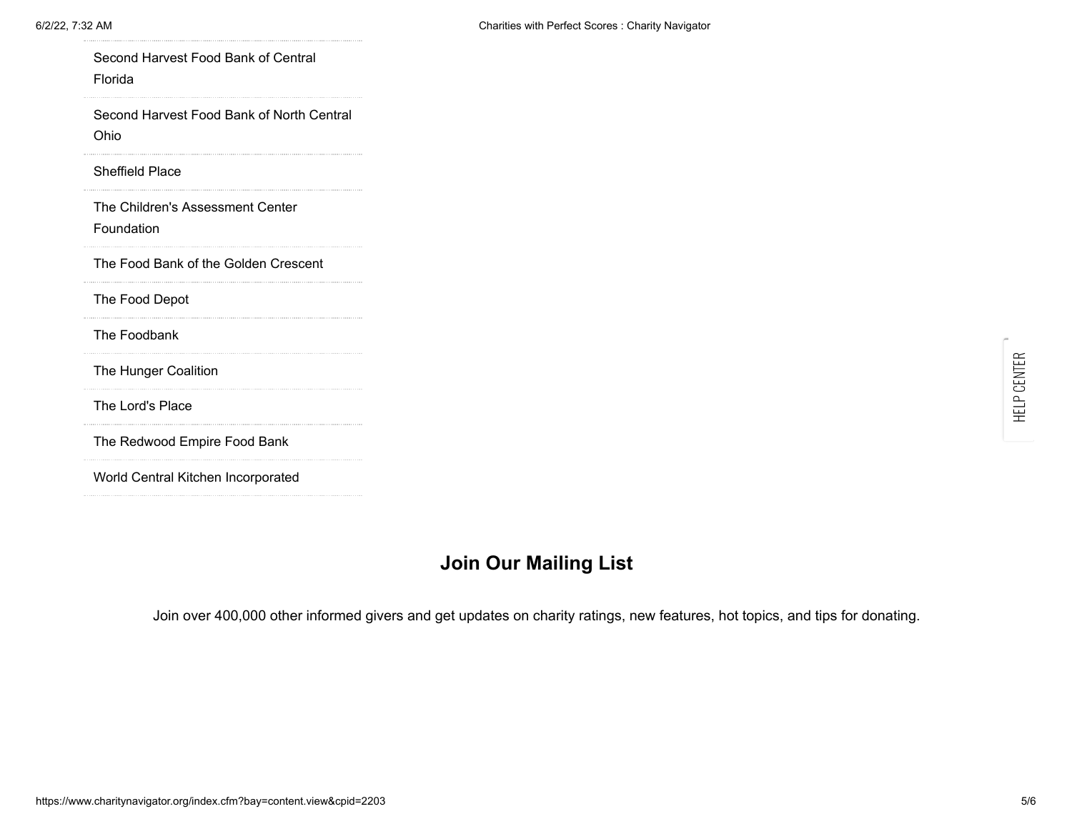| Second Harvest Food Bank of Central<br>Florida    |
|---------------------------------------------------|
| Second Harvest Food Bank of North Central<br>Ohio |
| <b>Sheffield Place</b>                            |
| The Children's Assessment Center<br>Foundation    |
| The Food Bank of the Golden Crescent              |
| The Food Depot                                    |
| The Foodbank                                      |
| The Hunger Coalition                              |
| The Lord's Place                                  |
| The Redwood Empire Food Bank                      |
| World Central Kitchen Incorporated                |

## **Join Our Mailing List**

Join over 400,000 other informed givers and get updates on charity ratings, new features, hot topics, and tips for donating.